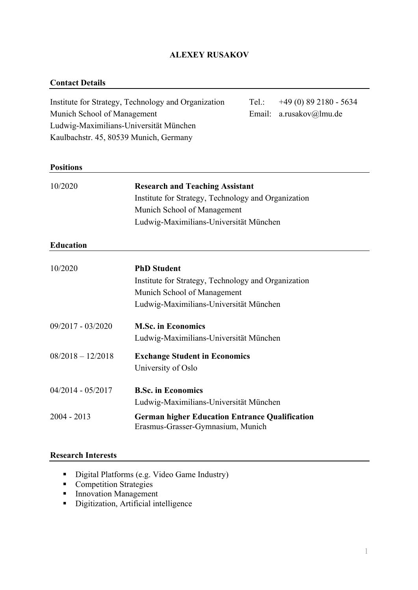# **ALEXEY RUSAKOV**

#### **Contact Details**

Institute for Strategy, Technology and Organization Tel.: +49 (0) 89 2180 - 5634 Munich School of Management Email: a.rusakov@lmu.de Ludwig-Maximilians-Universität München Kaulbachstr. 45, 80539 Munich, Germany

### **Positions**

| 10/2020             | <b>Research and Teaching Assistant</b>                                                     |  |
|---------------------|--------------------------------------------------------------------------------------------|--|
|                     | Institute for Strategy, Technology and Organization                                        |  |
|                     | Munich School of Management                                                                |  |
|                     | Ludwig-Maximilians-Universität München                                                     |  |
| <b>Education</b>    |                                                                                            |  |
| 10/2020             | <b>PhD Student</b>                                                                         |  |
|                     | Institute for Strategy, Technology and Organization                                        |  |
|                     | Munich School of Management                                                                |  |
|                     | Ludwig-Maximilians-Universität München                                                     |  |
| 09/2017 - 03/2020   | <b>M.Sc. in Economics</b>                                                                  |  |
|                     | Ludwig-Maximilians-Universität München                                                     |  |
| $08/2018 - 12/2018$ | <b>Exchange Student in Economics</b>                                                       |  |
|                     | University of Oslo                                                                         |  |
| 04/2014 - 05/2017   | <b>B.Sc. in Economics</b>                                                                  |  |
|                     | Ludwig-Maximilians-Universität München                                                     |  |
| 2004 - 2013         | <b>German higher Education Entrance Qualification</b><br>Erasmus-Grasser-Gymnasium, Munich |  |

### **Research Interests**

- Digital Platforms (e.g. Video Game Industry)
- Competition Strategies
- Innovation Management
- Digitization, Artificial intelligence